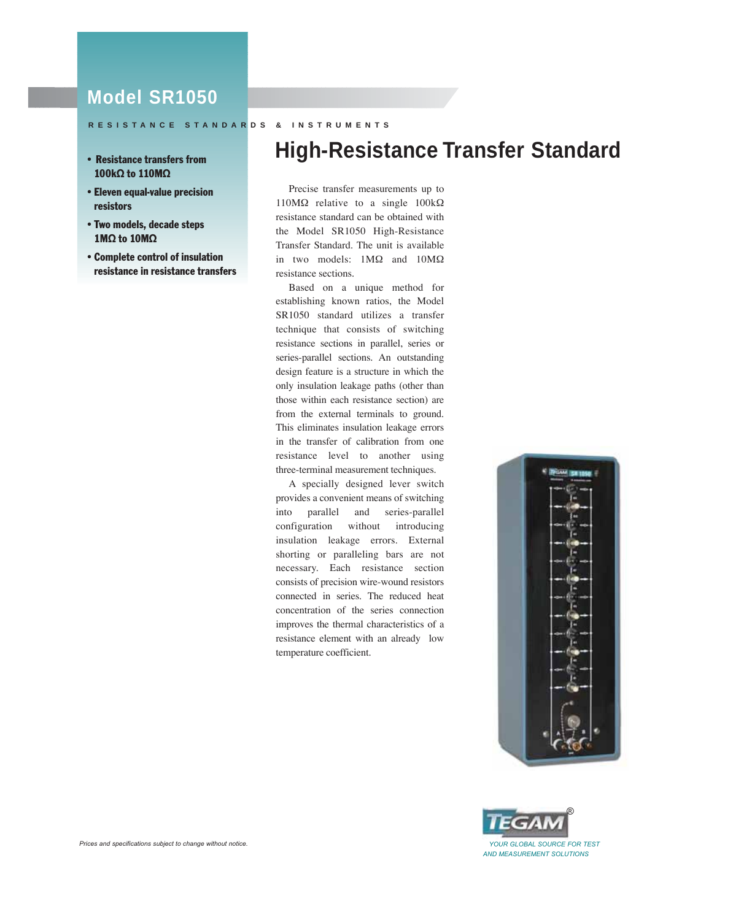# **Model SR1050**

## **RESISTANCE STANDARDS & INSTRUMENTS**

- 100kΩ to 110MΩ
- •Eleven equal-value precision resistors
- •Two models, decade steps 1MΩ to 10MΩ
- •Complete control of insulation resistance in resistance transfers

# • Resistance transfers from **High-Resistance Transfer Standard**

Precise transfer measurements up to 110MΩ relative to a single 100kΩ resistance standard can be obtained with the Model SR1050 High-Resistance Transfer Standard. The unit is available in two models: 1MΩ and 10MΩ resistance sections.

Based on a unique method for establishing known ratios, the Model SR1050 standard utilizes a transfer technique that consists of switching resistance sections in parallel, series or series-parallel sections. An outstanding design feature is a structure in which the only insulation leakage paths (other than those within each resistance section) are from the external terminals to ground. This eliminates insulation leakage errors in the transfer of calibration from one resistance level to another using three-terminal measurement techniques.

A specially designed lever switch provides a convenient means of switching into parallel and series-parallel configuration without introducing insulation leakage errors. External shorting or paralleling bars are not necessary. Each resistance section consists of precision wire-wound resistors connected in series. The reduced heat concentration of the series connection improves the thermal characteristics of a resistance element with an already low temperature coefficient.